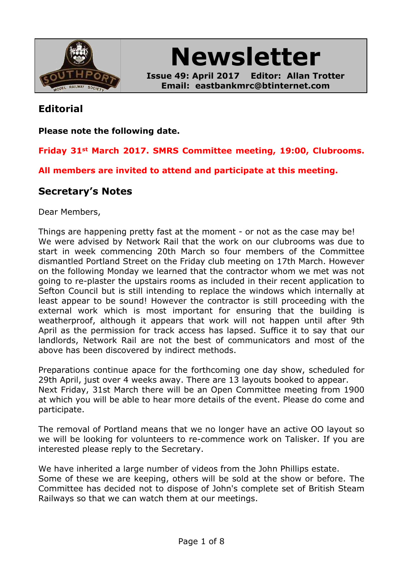

**Newsletter**

**Issue 49: April 2017 Editor: Allan Trotter Email: eastbankmrc@btinternet.com**

### **Editorial**

**Please note the following date.**

**Friday 31st March 2017. SMRS Committee meeting, 19:00, Clubrooms.**

**All members are invited to attend and participate at this meeting.**

### **Secretary's Notes**

Dear Members,

Things are happening pretty fast at the moment - or not as the case may be! We were advised by Network Rail that the work on our clubrooms was due to start in week commencing 20th March so four members of the Committee dismantled Portland Street on the Friday club meeting on 17th March. However on the following Monday we learned that the contractor whom we met was not going to re-plaster the upstairs rooms as included in their recent application to Sefton Council but is still intending to replace the windows which internally at least appear to be sound! However the contractor is still proceeding with the external work which is most important for ensuring that the building is weatherproof, although it appears that work will not happen until after 9th April as the permission for track access has lapsed. Suffice it to say that our landlords, Network Rail are not the best of communicators and most of the above has been discovered by indirect methods.

Preparations continue apace for the forthcoming one day show, scheduled for 29th April, just over 4 weeks away. There are 13 layouts booked to appear. Next Friday, 31st March there will be an Open Committee meeting from 1900 at which you will be able to hear more details of the event. Please do come and participate.

The removal of Portland means that we no longer have an active OO layout so we will be looking for volunteers to re-commence work on Talisker. If you are interested please reply to the Secretary.

We have inherited a large number of videos from the John Phillips estate. Some of these we are keeping, others will be sold at the show or before. The Committee has decided not to dispose of John's complete set of British Steam Railways so that we can watch them at our meetings.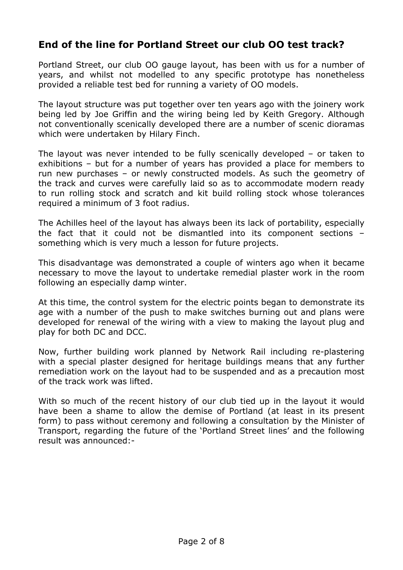## **End of the line for Portland Street our club OO test track?**

Portland Street, our club OO gauge layout, has been with us for a number of years, and whilst not modelled to any specific prototype has nonetheless provided a reliable test bed for running a variety of OO models.

The layout structure was put together over ten years ago with the joinery work being led by Joe Griffin and the wiring being led by Keith Gregory. Although not conventionally scenically developed there are a number of scenic dioramas which were undertaken by Hilary Finch.

The layout was never intended to be fully scenically developed – or taken to exhibitions – but for a number of years has provided a place for members to run new purchases – or newly constructed models. As such the geometry of the track and curves were carefully laid so as to accommodate modern ready to run rolling stock and scratch and kit build rolling stock whose tolerances required a minimum of 3 foot radius.

The Achilles heel of the layout has always been its lack of portability, especially the fact that it could not be dismantled into its component sections – something which is very much a lesson for future projects.

This disadvantage was demonstrated a couple of winters ago when it became necessary to move the layout to undertake remedial plaster work in the room following an especially damp winter.

At this time, the control system for the electric points began to demonstrate its age with a number of the push to make switches burning out and plans were developed for renewal of the wiring with a view to making the layout plug and play for both DC and DCC.

Now, further building work planned by Network Rail including re-plastering with a special plaster designed for heritage buildings means that any further remediation work on the layout had to be suspended and as a precaution most of the track work was lifted.

With so much of the recent history of our club tied up in the layout it would have been a shame to allow the demise of Portland (at least in its present form) to pass without ceremony and following a consultation by the Minister of Transport, regarding the future of the 'Portland Street lines' and the following result was announced:-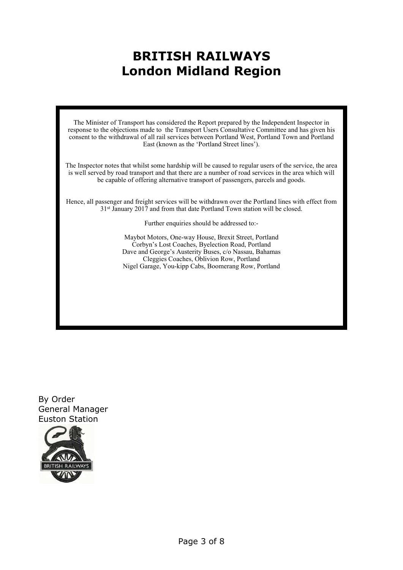# **BRITISH RAILWAYS London Midland Region**

The Minister of Transport has considered the Report prepared by the Independent Inspector in response to the objections made to the Transport Users Consultative Committee and has given his consent to the withdrawal of all rail services between Portland West, Portland Town and Portland East (known as the 'Portland Street lines').

The Inspector notes that whilst some hardship will be caused to regular users of the service, the area is well served by road transport and that there are a number of road services in the area which will be capable of offering alternative transport of passengers, parcels and goods.

Hence, all passenger and freight services will be withdrawn over the Portland lines with effect from 31<sup>st</sup> January 2017 and from that date Portland Town station will be closed.

Further enquiries should be addressed to:-

Maybot Motors, One-way House, Brexit Street, Portland Corbyn's Lost Coaches, Byelection Road, Portland Dave and George's Austerity Buses, c/o Nassau, Bahamas Cleggies Coaches, Oblivion Row, Portland Nigel Garage, You-kipp Cabs, Boomerang Row, Portland

By Order General Manager Euston Station

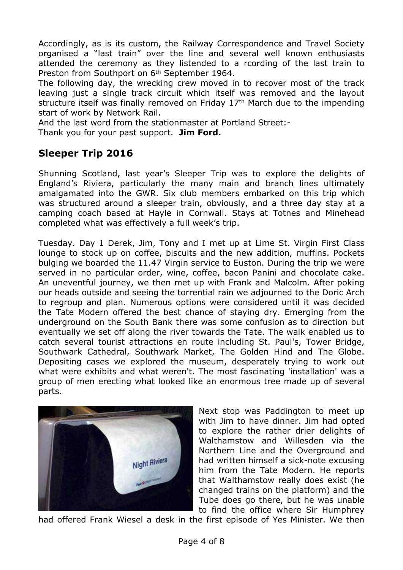Accordingly, as is its custom, the Railway Correspondence and Travel Society organised a "last train" over the line and several well known enthusiasts attended the ceremony as they listended to a rcording of the last train to Preston from Southport on 6th September 1964.

The following day, the wrecking crew moved in to recover most of the track leaving just a single track circuit which itself was removed and the layout structure itself was finally removed on Friday 17th March due to the impending start of work by Network Rail.

And the last word from the stationmaster at Portland Street:-

Thank you for your past support. **Jim Ford.**

## **Sleeper Trip 2016**

Shunning Scotland, last year's Sleeper Trip was to explore the delights of England's Riviera, particularly the many main and branch lines ultimately amalgamated into the GWR. Six club members embarked on this trip which was structured around a sleeper train, obviously, and a three day stay at a camping coach based at Hayle in Cornwall. Stays at Totnes and Minehead completed what was effectively a full week's trip.

Tuesday. Day 1 Derek, Jim, Tony and I met up at Lime St. Virgin First Class lounge to stock up on coffee, biscuits and the new addition, muffins. Pockets bulging we boarded the 11.47 Virgin service to Euston. During the trip we were served in no particular order, wine, coffee, bacon Panini and chocolate cake. An uneventful journey, we then met up with Frank and Malcolm. After poking our heads outside and seeing the torrential rain we adjourned to the Doric Arch to regroup and plan. Numerous options were considered until it was decided the Tate Modern offered the best chance of staying dry. Emerging from the underground on the South Bank there was some confusion as to direction but eventually we set off along the river towards the Tate. The walk enabled us to catch several tourist attractions en route including St. Paul's, Tower Bridge, Southwark Cathedral, Southwark Market, The Golden Hind and The Globe. Depositing cases we explored the museum, desperately trying to work out what were exhibits and what weren't. The most fascinating 'installation' was a group of men erecting what looked like an enormous tree made up of several parts.



Next stop was Paddington to meet up with Jim to have dinner. Jim had opted to explore the rather drier delights of Walthamstow and Willesden via the Northern Line and the Overground and had written himself a sick-note excusing him from the Tate Modern. He reports that Walthamstow really does exist (he changed trains on the platform) and the Tube does go there, but he was unable to find the office where Sir Humphrey

had offered Frank Wiesel a desk in the first episode of Yes Minister. We then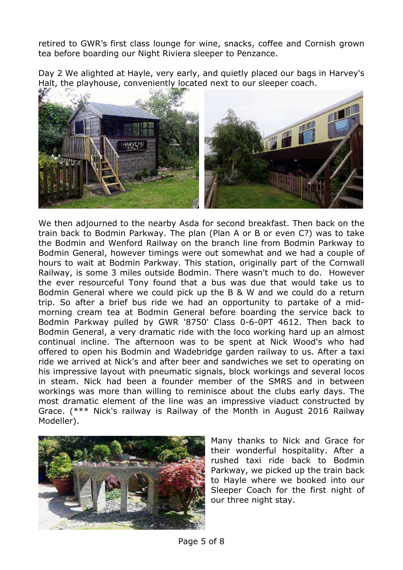retired to GWR's first class lounge for wine, snacks, coffee and Cornish grown tea before boarding our Night Riviera sleeper to Penzance.

Day 2 We alighted at Hayle, very early, and quietly placed our bags in Harvey's Halt, the playhouse, conveniently located next to our sleeper coach.



We then adjourned to the nearby Asda for second breakfast. Then back on the train back to Bodmin Parkway. The plan (Plan A or B or even C?) was to take the Bodmin and Wenford Railway on the branch line from Bodmin Parkway to Bodmin General, however timings were out somewhat and we had a couple of hours to wait at Bodmin Parkway. This station, originally part of the Cornwall Railway, is some 3 miles outside Bodmin. There wasn't much to do. However the ever resourceful Tony found that a bus was due that would take us to Bodmin General where we could pick up the B & W and we could do a return trip. So after a brief bus ride we had an opportunity to partake of a midmorning cream tea at Bodmin General before boarding the service back to Bodmin Parkway pulled by GWR '8750' Class 0-6-0PT 4612. Then back to Bodmin General, a very dramatic ride with the loco working hard up an almost continual incline. The afternoon was to be spent at Nick Wood's who had offered to open his Bodmin and Wadebridge garden railway to us. After a taxi ride we arrived at Nick's and after beer and sandwiches we set to operating on his impressive layout with pneumatic signals, block workings and several locos in steam. Nick had been a founder member of the SMRS and in between workings was more than willing to reminisce about the clubs early days. The most dramatic element of the line was an impressive viaduct constructed by Grace. (\*\*\* Nick's railway is Railway of the Month in August 2016 Railway Modeller).



Many thanks to Nick and Grace for their wonderful hospitality. After a rushed taxi ride back to Bodmin Parkway, we picked up the train back to Hayle where we booked into our Sleeper Coach for the first night of our three night stay.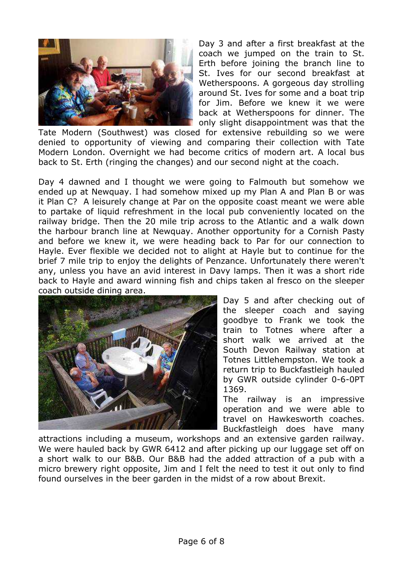

Day 3 and after a first breakfast at the coach we jumped on the train to St. Erth before joining the branch line to St. Ives for our second breakfast at Wetherspoons. A gorgeous day strolling around St. Ives for some and a boat trip for Jim. Before we knew it we were back at Wetherspoons for dinner. The only slight disappointment was that the

Tate Modern (Southwest) was closed for extensive rebuilding so we were denied to opportunity of viewing and comparing their collection with Tate Modern London. Overnight we had become critics of modern art. A local bus back to St. Erth (ringing the changes) and our second night at the coach.

Day 4 dawned and I thought we were going to Falmouth but somehow we ended up at Newquay. I had somehow mixed up my Plan A and Plan B or was it Plan C? A leisurely change at Par on the opposite coast meant we were able to partake of liquid refreshment in the local pub conveniently located on the railway bridge. Then the 20 mile trip across to the Atlantic and a walk down the harbour branch line at Newquay. Another opportunity for a Cornish Pasty and before we knew it, we were heading back to Par for our connection to Hayle. Ever flexible we decided not to alight at Hayle but to continue for the brief 7 mile trip to enjoy the delights of Penzance. Unfortunately there weren't any, unless you have an avid interest in Davy lamps. Then it was a short ride back to Hayle and award winning fish and chips taken al fresco on the sleeper coach outside dining area.



Day 5 and after checking out of the sleeper coach and saying goodbye to Frank we took the train to Totnes where after a short walk we arrived at the South Devon Railway station at Totnes Littlehempston. We took a return trip to Buckfastleigh hauled by GWR outside cylinder 0-6-0PT 1369.

The railway is an impressive operation and we were able to travel on Hawkesworth coaches. Buckfastleigh does have many

attractions including a museum, workshops and an extensive garden railway. We were hauled back by GWR 6412 and after picking up our luggage set off on a short walk to our B&B. Our B&B had the added attraction of a pub with a micro brewery right opposite, Jim and I felt the need to test it out only to find found ourselves in the beer garden in the midst of a row about Brexit.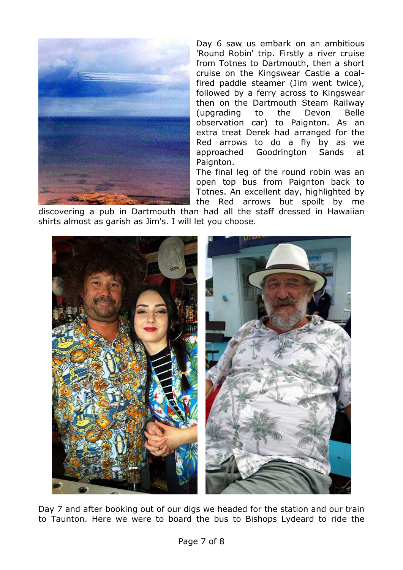

Day 6 saw us embark on an ambitious 'Round Robin' trip. Firstly a river cruise from Totnes to Dartmouth, then a short cruise on the Kingswear Castle a coalfired paddle steamer (Jim went twice), followed by a ferry across to Kingswear then on the Dartmouth Steam Railway (upgrading to the Devon Belle observation car) to Paignton. As an extra treat Derek had arranged for the Red arrows to do a fly by as we approached Goodrington Sands at Paignton.

The final leg of the round robin was an open top bus from Paignton back to Totnes. An excellent day, highlighted by the Red arrows but spoilt by me

discovering a pub in Dartmouth than had all the staff dressed in Hawaiian shirts almost as garish as Jim's. I will let you choose.



Day 7 and after booking out of our digs we headed for the station and our train to Taunton. Here we were to board the bus to Bishops Lydeard to ride the